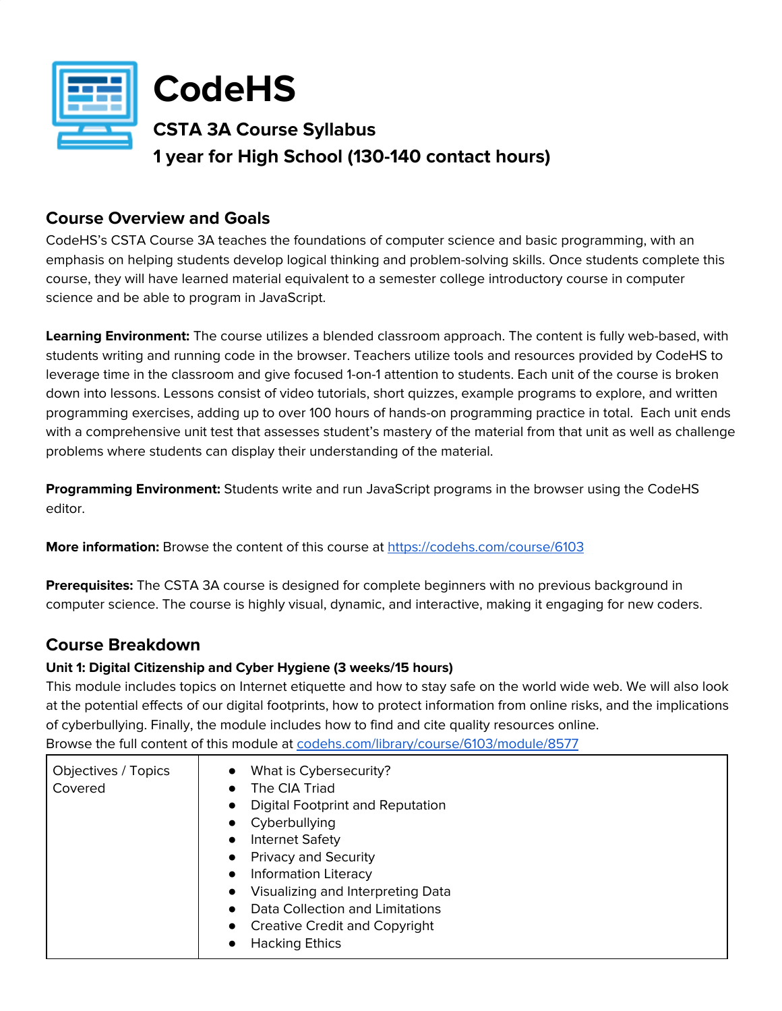

**CodeHS**

**CSTA 3A Course Syllabus 1 year for High School (130-140 contact hours)**

# **Course Overview and Goals**

CodeHS's CSTA Course 3A teaches the foundations of computer science and basic programming, with an emphasis on helping students develop logical thinking and problem-solving skills. Once students complete this course, they will have learned material equivalent to a semester college introductory course in computer science and be able to program in JavaScript.

**Learning Environment:** The course utilizes a blended classroom approach. The content is fully web-based, with students writing and running code in the browser. Teachers utilize tools and resources provided by CodeHS to leverage time in the classroom and give focused 1-on-1 attention to students. Each unit of the course is broken down into lessons. Lessons consist of video tutorials, short quizzes, example programs to explore, and written programming exercises, adding up to over 100 hours of hands-on programming practice in total. Each unit ends with a comprehensive unit test that assesses student's mastery of the material from that unit as well as challenge problems where students can display their understanding of the material.

**Programming Environment:** Students write and run JavaScript programs in the browser using the CodeHS editor.

**More information:** Browse the content of this course at <https://codehs.com/course/6103>

**Prerequisites:** The CSTA 3A course is designed for complete beginners with no previous background in computer science. The course is highly visual, dynamic, and interactive, making it engaging for new coders.

# **Course Breakdown**

# **Unit 1: Digital Citizenship and Cyber Hygiene (3 weeks/15 hours)**

This module includes topics on Internet etiquette and how to stay safe on the world wide web. We will also look at the potential effects of our digital footprints, how to protect information from online risks, and the implications of cyberbullying. Finally, the module includes how to find and cite quality resources online. Browse the full content of this module at [codehs.com/library/course/6103/module/8577](https://codehs.com/library/course/6103/module/8577)

Objectives / Topics Covered ● What is Cybersecurity? ● The CIA Triad **Digital Footprint and Reputation** ● Cyberbullying Internet Safety ● Privacy and Security **•** Information Literacy ● Visualizing and Interpreting Data Data Collection and Limitations Creative Credit and Copyright ● Hacking Ethics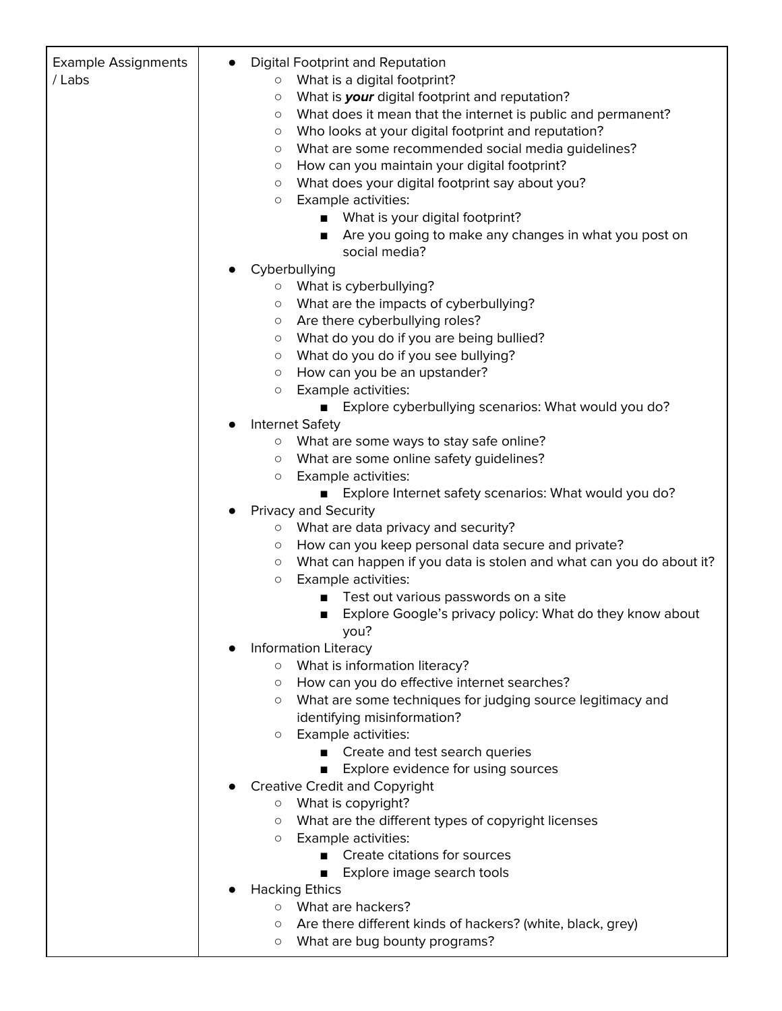| <b>Example Assignments</b><br>/Labs | <b>Digital Footprint and Reputation</b>                                             |
|-------------------------------------|-------------------------------------------------------------------------------------|
|                                     | What is a digital footprint?<br>$\circ$                                             |
|                                     | What is your digital footprint and reputation?<br>$\circlearrowright$               |
|                                     | What does it mean that the internet is public and permanent?<br>$\circlearrowright$ |
|                                     | Who looks at your digital footprint and reputation?<br>$\circlearrowright$          |
|                                     | What are some recommended social media guidelines?<br>$\circ$                       |
|                                     | How can you maintain your digital footprint?<br>$\circ$                             |
|                                     | What does your digital footprint say about you?<br>$\circlearrowright$              |
|                                     | Example activities:<br>$\circlearrowright$                                          |
|                                     | What is your digital footprint?                                                     |
|                                     | Are you going to make any changes in what you post on                               |
|                                     | social media?                                                                       |
|                                     | Cyberbullying                                                                       |
|                                     | o What is cyberbullying?                                                            |
|                                     | What are the impacts of cyberbullying?<br>$\circ$                                   |
|                                     | Are there cyberbullying roles?<br>$\circ$                                           |
|                                     | What do you do if you are being bullied?<br>$\circ$                                 |
|                                     | What do you do if you see bullying?<br>$\circ$                                      |
|                                     | How can you be an upstander?<br>$\circ$                                             |
|                                     | Example activities:<br>$\circ$                                                      |
|                                     | Explore cyberbullying scenarios: What would you do?<br>$\blacksquare$               |
|                                     | <b>Internet Safety</b>                                                              |
|                                     | o What are some ways to stay safe online?                                           |
|                                     | What are some online safety guidelines?<br>$\circ$                                  |
|                                     | Example activities:<br>$\circ$                                                      |
|                                     | Explore Internet safety scenarios: What would you do?                               |
|                                     | Privacy and Security                                                                |
|                                     | o What are data privacy and security?                                               |
|                                     | How can you keep personal data secure and private?<br>$\circ$                       |
|                                     | What can happen if you data is stolen and what can you do about it?<br>$\circ$      |
|                                     | Example activities:<br>$\circ$                                                      |
|                                     | Test out various passwords on a site                                                |
|                                     | Explore Google's privacy policy: What do they know about                            |
|                                     | you?                                                                                |
|                                     | Information Literacy                                                                |
|                                     | o What is information literacy?                                                     |
|                                     | How can you do effective internet searches?<br>$\circ$                              |
|                                     | What are some techniques for judging source legitimacy and<br>$\circ$               |
|                                     | identifying misinformation?                                                         |
|                                     | Example activities:<br>$\circ$                                                      |
|                                     | Create and test search queries<br>$\blacksquare$                                    |
|                                     | Explore evidence for using sources                                                  |
|                                     | <b>Creative Credit and Copyright</b>                                                |
|                                     | ○ What is copyright?                                                                |
|                                     | What are the different types of copyright licenses<br>$\circ$                       |
|                                     | Example activities:<br>$\circ$                                                      |
|                                     | Create citations for sources                                                        |
|                                     | Explore image search tools                                                          |
|                                     | <b>Hacking Ethics</b>                                                               |
|                                     | o What are hackers?                                                                 |
|                                     | Are there different kinds of hackers? (white, black, grey)<br>$\circ$               |
|                                     | What are bug bounty programs?<br>О                                                  |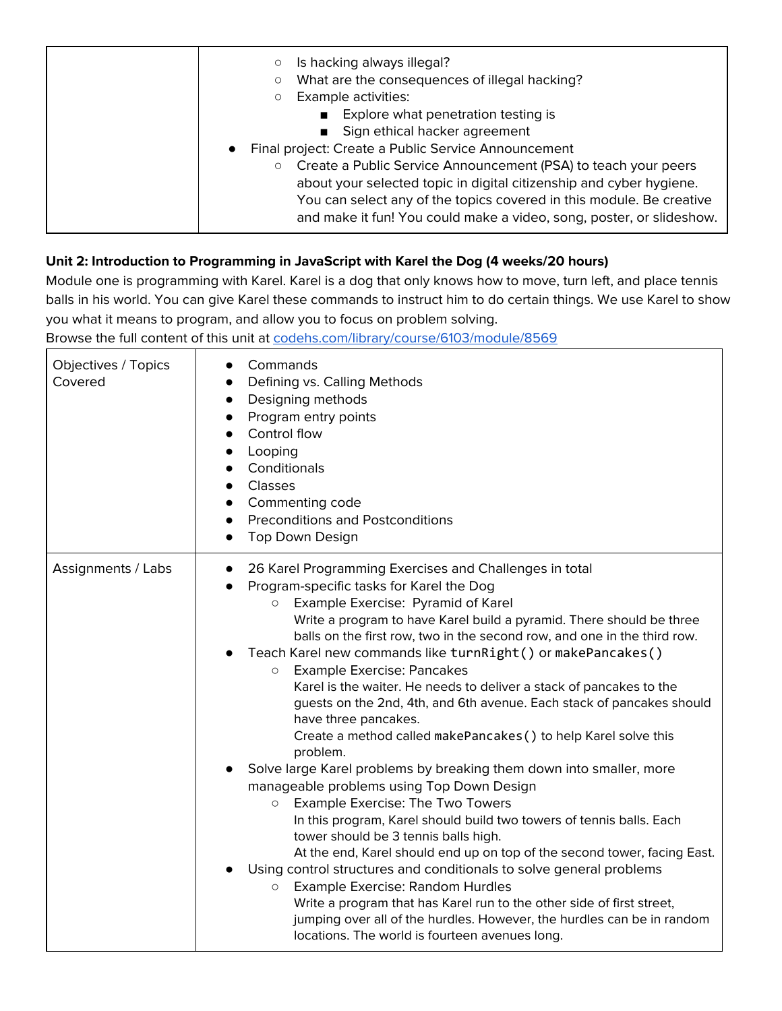| Is hacking always illegal?<br>$\circ$<br>What are the consequences of illegal hacking?<br>$\circ$<br>Example activities:<br>$\circlearrowright$<br>Explore what penetration testing is<br>Sign ethical hacker agreement<br>Final project: Create a Public Service Announcement<br>$\bullet$      |
|--------------------------------------------------------------------------------------------------------------------------------------------------------------------------------------------------------------------------------------------------------------------------------------------------|
| Create a Public Service Announcement (PSA) to teach your peers<br>$\circ$<br>about your selected topic in digital citizenship and cyber hygiene.<br>You can select any of the topics covered in this module. Be creative<br>and make it fun! You could make a video, song, poster, or slideshow. |

# **Unit 2: Introduction to Programming in JavaScript with Karel the Dog (4 weeks/20 hours)**

Module one is programming with Karel. Karel is a dog that only knows how to move, turn left, and place tennis balls in his world. You can give Karel these commands to instruct him to do certain things. We use Karel to show you what it means to program, and allow you to focus on problem solving.

| Objectives / Topics<br>Covered | Commands<br>Defining vs. Calling Methods<br>Designing methods<br>$\bullet$<br>Program entry points<br>Control flow<br>$\bullet$<br>Looping<br>$\bullet$<br>Conditionals<br>Classes<br>$\bullet$<br>Commenting code<br>$\bullet$<br><b>Preconditions and Postconditions</b><br>$\bullet$<br><b>Top Down Design</b><br>$\bullet$                                                                                                                                                                                                                                                                                                                                                                                                                                                                                                                                                                                                                                                                                                                                                                                                                                                                                                                                                                                                                                                       |
|--------------------------------|--------------------------------------------------------------------------------------------------------------------------------------------------------------------------------------------------------------------------------------------------------------------------------------------------------------------------------------------------------------------------------------------------------------------------------------------------------------------------------------------------------------------------------------------------------------------------------------------------------------------------------------------------------------------------------------------------------------------------------------------------------------------------------------------------------------------------------------------------------------------------------------------------------------------------------------------------------------------------------------------------------------------------------------------------------------------------------------------------------------------------------------------------------------------------------------------------------------------------------------------------------------------------------------------------------------------------------------------------------------------------------------|
| Assignments / Labs             | 26 Karel Programming Exercises and Challenges in total<br>$\bullet$<br>Program-specific tasks for Karel the Dog<br>Example Exercise: Pyramid of Karel<br>$\circ$<br>Write a program to have Karel build a pyramid. There should be three<br>balls on the first row, two in the second row, and one in the third row.<br>Teach Karel new commands like turnRight() or makePancakes()<br><b>Example Exercise: Pancakes</b><br>$\circ$<br>Karel is the waiter. He needs to deliver a stack of pancakes to the<br>guests on the 2nd, 4th, and 6th avenue. Each stack of pancakes should<br>have three pancakes.<br>Create a method called makePancakes () to help Karel solve this<br>problem.<br>Solve large Karel problems by breaking them down into smaller, more<br>manageable problems using Top Down Design<br>Example Exercise: The Two Towers<br>$\circ$<br>In this program, Karel should build two towers of tennis balls. Each<br>tower should be 3 tennis balls high.<br>At the end, Karel should end up on top of the second tower, facing East.<br>Using control structures and conditionals to solve general problems<br>Example Exercise: Random Hurdles<br>$\circ$<br>Write a program that has Karel run to the other side of first street,<br>jumping over all of the hurdles. However, the hurdles can be in random<br>locations. The world is fourteen avenues long. |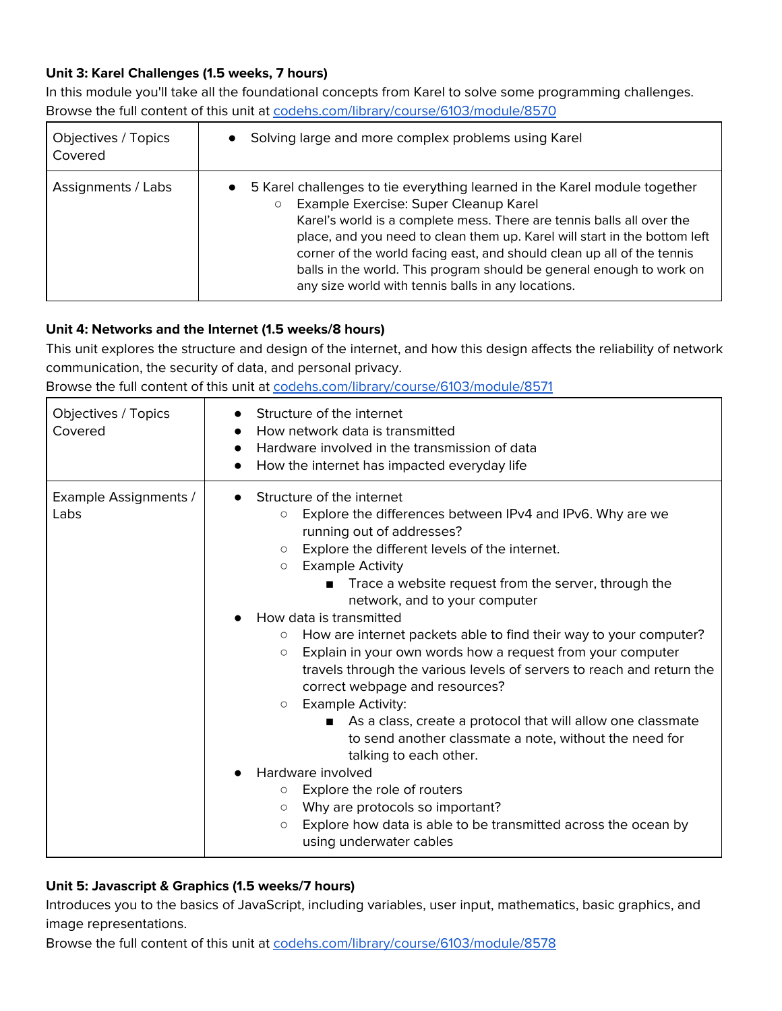### **Unit 3: Karel Challenges (1.5 weeks, 7 hours)**

In this module you'll take all the foundational concepts from Karel to solve some programming challenges. Browse the full content of this unit at [codehs.com/library/course/6103/module/8570](https://codehs.com/library/course/6103/module/8570)

| Objectives / Topics<br>Covered | Solving large and more complex problems using Karel                                                                                                                                                                                                                                                                                                                                                                                                                                                      |
|--------------------------------|----------------------------------------------------------------------------------------------------------------------------------------------------------------------------------------------------------------------------------------------------------------------------------------------------------------------------------------------------------------------------------------------------------------------------------------------------------------------------------------------------------|
| Assignments / Labs             | 5 Karel challenges to tie everything learned in the Karel module together<br>$\bullet$<br>Example Exercise: Super Cleanup Karel<br>$\circ$<br>Karel's world is a complete mess. There are tennis balls all over the<br>place, and you need to clean them up. Karel will start in the bottom left<br>corner of the world facing east, and should clean up all of the tennis<br>balls in the world. This program should be general enough to work on<br>any size world with tennis balls in any locations. |

#### **Unit 4: Networks and the Internet (1.5 weeks/8 hours)**

This unit explores the structure and design of the internet, and how this design affects the reliability of network communication, the security of data, and personal privacy.

Browse the full content of this unit at [codehs.com/library/course/6103/module/8571](https://codehs.com/library/course/6103/module/8571)

| Objectives / Topics<br>Covered | Structure of the internet<br>How network data is transmitted<br>Hardware involved in the transmission of data<br>How the internet has impacted everyday life                                                                                                                                                                                                                                                                                                                                                                                                                                                                                                                                                                                                                                                                                                                                                                                                                                                                                                                     |
|--------------------------------|----------------------------------------------------------------------------------------------------------------------------------------------------------------------------------------------------------------------------------------------------------------------------------------------------------------------------------------------------------------------------------------------------------------------------------------------------------------------------------------------------------------------------------------------------------------------------------------------------------------------------------------------------------------------------------------------------------------------------------------------------------------------------------------------------------------------------------------------------------------------------------------------------------------------------------------------------------------------------------------------------------------------------------------------------------------------------------|
| Example Assignments /<br>Labs  | Structure of the internet<br>Explore the differences between IPv4 and IPv6. Why are we<br>$\circlearrowright$<br>running out of addresses?<br>Explore the different levels of the internet.<br>$\circlearrowright$<br><b>Example Activity</b><br>$\circ$<br>Trace a website request from the server, through the<br>■<br>network, and to your computer<br>How data is transmitted<br>How are internet packets able to find their way to your computer?<br>$\circ$<br>Explain in your own words how a request from your computer<br>$\circlearrowright$<br>travels through the various levels of servers to reach and return the<br>correct webpage and resources?<br><b>Example Activity:</b><br>$\circ$<br>As a class, create a protocol that will allow one classmate<br>to send another classmate a note, without the need for<br>talking to each other.<br>Hardware involved<br>Explore the role of routers<br>$\circ$<br>Why are protocols so important?<br>$\circ$<br>Explore how data is able to be transmitted across the ocean by<br>$\circ$<br>using underwater cables |

### **Unit 5: Javascript & Graphics (1.5 weeks/7 hours)**

Introduces you to the basics of JavaScript, including variables, user input, mathematics, basic graphics, and image representations.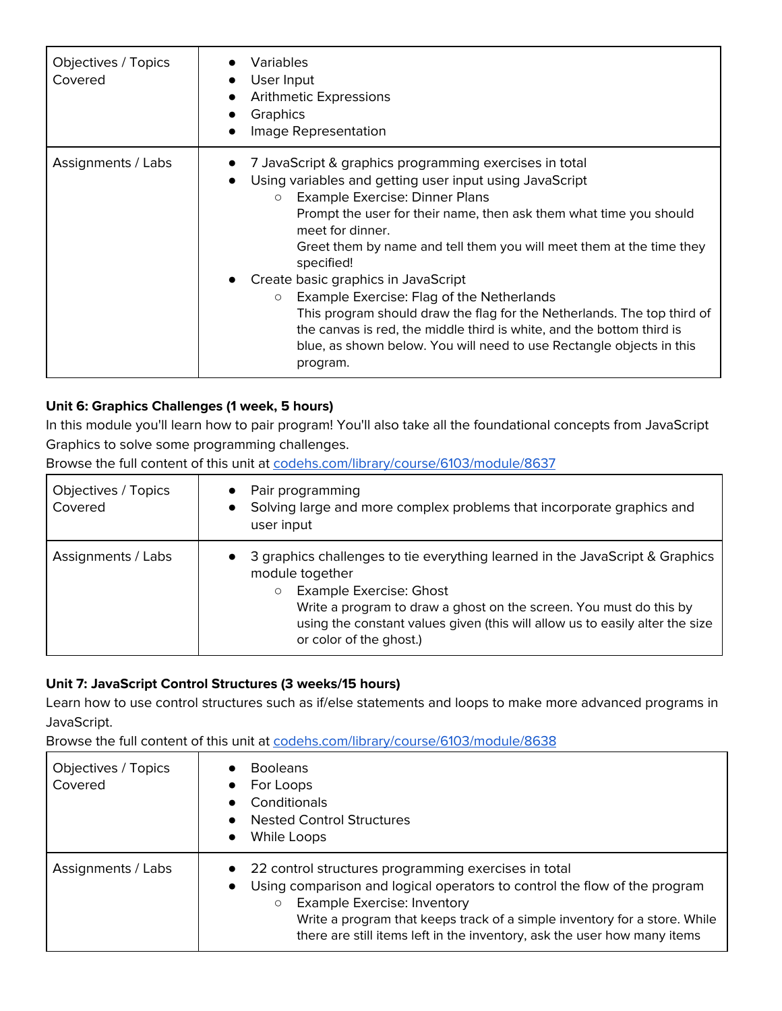| Objectives / Topics<br>Covered | Variables<br>User Input<br>Arithmetic Expressions<br>Graphics<br>Image Representation                                                                                                                                                                                                                                                                                                                                                                                                                                                                                                                                                                                                 |
|--------------------------------|---------------------------------------------------------------------------------------------------------------------------------------------------------------------------------------------------------------------------------------------------------------------------------------------------------------------------------------------------------------------------------------------------------------------------------------------------------------------------------------------------------------------------------------------------------------------------------------------------------------------------------------------------------------------------------------|
| Assignments / Labs             | 7 JavaScript & graphics programming exercises in total<br>Using variables and getting user input using JavaScript<br>Example Exercise: Dinner Plans<br>$\circ$<br>Prompt the user for their name, then ask them what time you should<br>meet for dinner.<br>Greet them by name and tell them you will meet them at the time they<br>specified!<br>Create basic graphics in JavaScript<br>Example Exercise: Flag of the Netherlands<br>$\circ$<br>This program should draw the flag for the Netherlands. The top third of<br>the canvas is red, the middle third is white, and the bottom third is<br>blue, as shown below. You will need to use Rectangle objects in this<br>program. |

## **Unit 6: Graphics Challenges (1 week, 5 hours)**

In this module you'll learn how to pair program! You'll also take all the foundational concepts from JavaScript Graphics to solve some programming challenges.

Browse the full content of this unit at [codehs.com/library/course/6103/module/8637](https://codehs.com/library/course/6103/module/8637)

| Objectives / Topics<br>Covered | Pair programming<br>Solving large and more complex problems that incorporate graphics and<br>$\bullet$<br>user input                                                                                                                                                                                                          |
|--------------------------------|-------------------------------------------------------------------------------------------------------------------------------------------------------------------------------------------------------------------------------------------------------------------------------------------------------------------------------|
| Assignments / Labs             | 3 graphics challenges to tie everything learned in the JavaScript & Graphics<br>module together<br><b>Example Exercise: Ghost</b><br>$\circ$<br>Write a program to draw a ghost on the screen. You must do this by<br>using the constant values given (this will allow us to easily alter the size<br>or color of the ghost.) |

### **Unit 7: JavaScript Control Structures (3 weeks/15 hours)**

Learn how to use control structures such as if/else statements and loops to make more advanced programs in JavaScript.

| Objectives / Topics<br>Covered | <b>Booleans</b><br>$\bullet$<br>For Loops<br>$\bullet$<br>Conditionals<br>$\bullet$<br><b>Nested Control Structures</b><br>While Loops<br>$\bullet$                                                                                                                                                                                                                               |
|--------------------------------|-----------------------------------------------------------------------------------------------------------------------------------------------------------------------------------------------------------------------------------------------------------------------------------------------------------------------------------------------------------------------------------|
| Assignments / Labs             | 22 control structures programming exercises in total<br>$\bullet$<br>Using comparison and logical operators to control the flow of the program<br>$\bullet$<br><b>Example Exercise: Inventory</b><br>$\circlearrowright$<br>Write a program that keeps track of a simple inventory for a store. While<br>there are still items left in the inventory, ask the user how many items |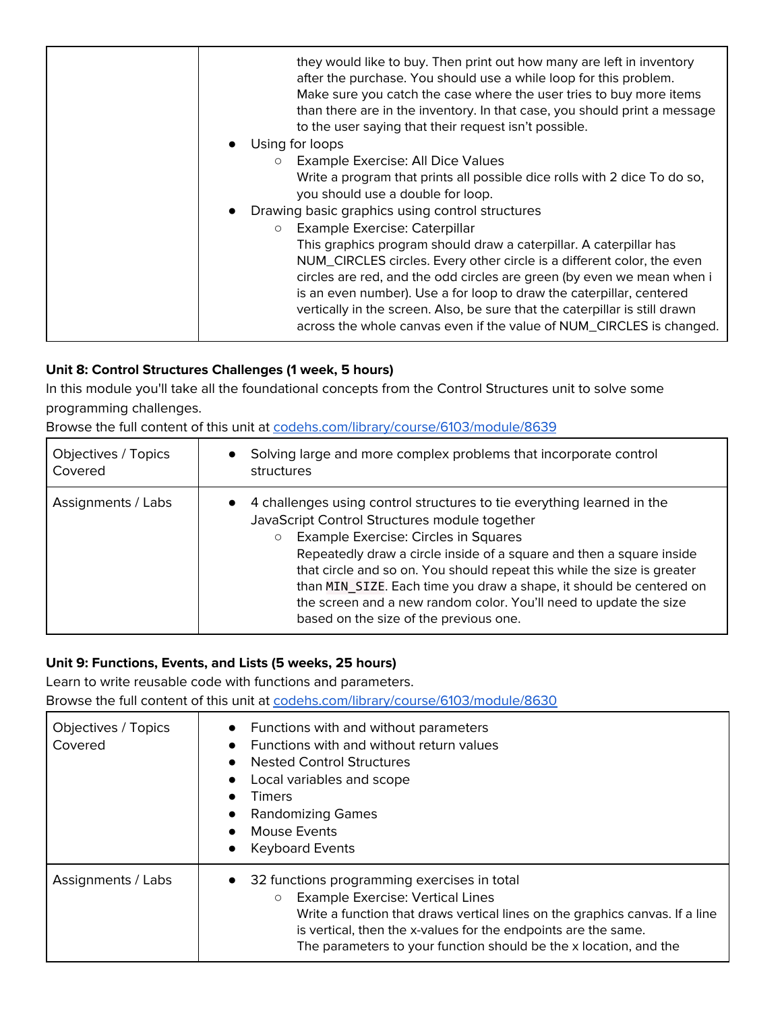| they would like to buy. Then print out how many are left in inventory<br>after the purchase. You should use a while loop for this problem.<br>Make sure you catch the case where the user tries to buy more items<br>than there are in the inventory. In that case, you should print a message<br>to the user saying that their request isn't possible.<br>Using for loops<br>$\bullet$<br>Example Exercise: All Dice Values<br>$\circ$<br>Write a program that prints all possible dice rolls with 2 dice To do so, |
|----------------------------------------------------------------------------------------------------------------------------------------------------------------------------------------------------------------------------------------------------------------------------------------------------------------------------------------------------------------------------------------------------------------------------------------------------------------------------------------------------------------------|
| you should use a double for loop.                                                                                                                                                                                                                                                                                                                                                                                                                                                                                    |
| Drawing basic graphics using control structures<br>$\bullet$                                                                                                                                                                                                                                                                                                                                                                                                                                                         |
| Example Exercise: Caterpillar<br>$\circ$                                                                                                                                                                                                                                                                                                                                                                                                                                                                             |
| This graphics program should draw a caterpillar. A caterpillar has<br>NUM_CIRCLES circles. Every other circle is a different color, the even                                                                                                                                                                                                                                                                                                                                                                         |
| circles are red, and the odd circles are green (by even we mean when i<br>is an even number). Use a for loop to draw the caterpillar, centered<br>vertically in the screen. Also, be sure that the caterpillar is still drawn                                                                                                                                                                                                                                                                                        |
| across the whole canvas even if the value of NUM_CIRCLES is changed.                                                                                                                                                                                                                                                                                                                                                                                                                                                 |

## **Unit 8: Control Structures Challenges (1 week, 5 hours)**

In this module you'll take all the foundational concepts from the Control Structures unit to solve some programming challenges.

Browse the full content of this unit at [codehs.com/library/course/6103/module/8639](https://codehs.com/library/course/6103/module/8639)

| Objectives / Topics<br>Covered | Solving large and more complex problems that incorporate control<br>$\bullet$<br>structures                                                                                                                                                                                                                                                                                                                                                                                                                                      |
|--------------------------------|----------------------------------------------------------------------------------------------------------------------------------------------------------------------------------------------------------------------------------------------------------------------------------------------------------------------------------------------------------------------------------------------------------------------------------------------------------------------------------------------------------------------------------|
| Assignments / Labs             | 4 challenges using control structures to tie everything learned in the<br>$\bullet$<br>JavaScript Control Structures module together<br>Example Exercise: Circles in Squares<br>$\circ$<br>Repeatedly draw a circle inside of a square and then a square inside<br>that circle and so on. You should repeat this while the size is greater<br>than MIN SIZE. Each time you draw a shape, it should be centered on<br>the screen and a new random color. You'll need to update the size<br>based on the size of the previous one. |

## **Unit 9: Functions, Events, and Lists (5 weeks, 25 hours)**

Learn to write reusable code with functions and parameters.

| Objectives / Topics<br>Covered | • Functions with and without parameters<br>Functions with and without return values<br><b>Nested Control Structures</b><br>$\bullet$<br>Local variables and scope<br>Timers<br><b>Randomizing Games</b><br>Mouse Events<br>$\bullet$<br><b>Keyboard Events</b><br>$\bullet$                                     |
|--------------------------------|-----------------------------------------------------------------------------------------------------------------------------------------------------------------------------------------------------------------------------------------------------------------------------------------------------------------|
| Assignments / Labs             | • 32 functions programming exercises in total<br><b>Example Exercise: Vertical Lines</b><br>Write a function that draws vertical lines on the graphics canvas. If a line<br>is vertical, then the x-values for the endpoints are the same.<br>The parameters to your function should be the x location, and the |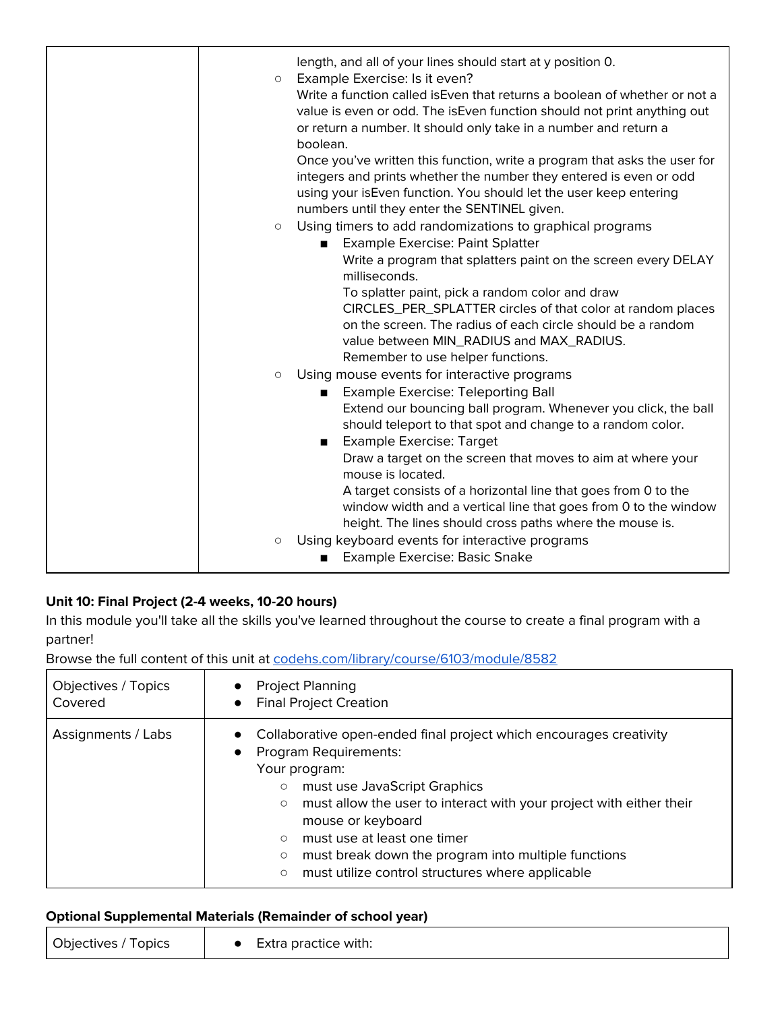| length, and all of your lines should start at y position 0.<br>Example Exercise: Is it even?<br>$\circ$<br>Write a function called is Even that returns a boolean of whether or not a<br>value is even or odd. The is Even function should not print anything out<br>or return a number. It should only take in a number and return a<br>boolean.<br>Once you've written this function, write a program that asks the user for<br>integers and prints whether the number they entered is even or odd<br>using your isEven function. You should let the user keep entering<br>numbers until they enter the SENTINEL given.<br>Using timers to add randomizations to graphical programs<br>$\circ$ |
|--------------------------------------------------------------------------------------------------------------------------------------------------------------------------------------------------------------------------------------------------------------------------------------------------------------------------------------------------------------------------------------------------------------------------------------------------------------------------------------------------------------------------------------------------------------------------------------------------------------------------------------------------------------------------------------------------|
| Example Exercise: Paint Splatter<br>Write a program that splatters paint on the screen every DELAY<br>milliseconds.<br>To splatter paint, pick a random color and draw<br>CIRCLES_PER_SPLATTER circles of that color at random places<br>on the screen. The radius of each circle should be a random<br>value between MIN_RADIUS and MAX_RADIUS.<br>Remember to use helper functions.                                                                                                                                                                                                                                                                                                            |
| Using mouse events for interactive programs<br>$\bigcirc$<br><b>Example Exercise: Teleporting Ball</b><br>$\blacksquare$<br>Extend our bouncing ball program. Whenever you click, the ball<br>should teleport to that spot and change to a random color.<br>Example Exercise: Target<br>Draw a target on the screen that moves to aim at where your<br>mouse is located.<br>A target consists of a horizontal line that goes from 0 to the<br>window width and a vertical line that goes from 0 to the window                                                                                                                                                                                    |
| height. The lines should cross paths where the mouse is.<br>Using keyboard events for interactive programs<br>$\circlearrowright$<br>Example Exercise: Basic Snake                                                                                                                                                                                                                                                                                                                                                                                                                                                                                                                               |

# **Unit 10: Final Project (2-4 weeks, 10-20 hours)**

In this module you'll take all the skills you've learned throughout the course to create a final program with a partner!

Browse the full content of this unit at [codehs.com/library/course/6103/module/8582](https://codehs.com/library/course/6103/module/8582)

| Objectives / Topics | <b>Project Planning</b>                                                                                                                                                                                                                                                                                                                                                                                                                    |
|---------------------|--------------------------------------------------------------------------------------------------------------------------------------------------------------------------------------------------------------------------------------------------------------------------------------------------------------------------------------------------------------------------------------------------------------------------------------------|
| Covered             | <b>Final Project Creation</b>                                                                                                                                                                                                                                                                                                                                                                                                              |
| Assignments / Labs  | Collaborative open-ended final project which encourages creativity<br><b>Program Requirements:</b><br>Your program:<br>must use JavaScript Graphics<br>$\circ$<br>must allow the user to interact with your project with either their<br>$\circ$<br>mouse or keyboard<br>must use at least one timer<br>$\circ$<br>must break down the program into multiple functions<br>O<br>must utilize control structures where applicable<br>$\circ$ |

# **Optional Supplemental Materials (Remainder of school year)**

| ___                 |                      |  |
|---------------------|----------------------|--|
| Objectives<br>opics | Extra practice with: |  |